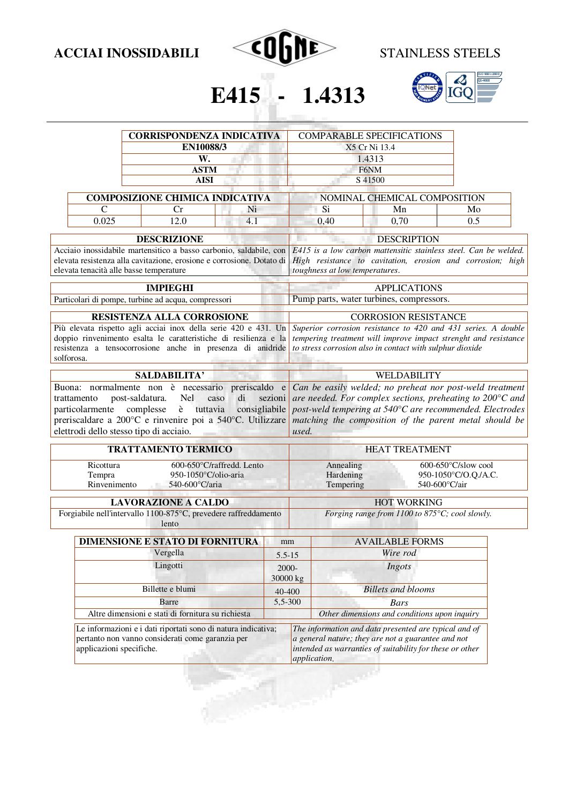



 **E415 - 1.4313** 

|                                                                                                                                                                                                                                                                                                      |                                                                                                                                               | <b>CORRISPONDENZA INDICATIVA</b>                                |     |                   |                                                                                                                                                                                                                                                                |                              | <b>COMPARABLE SPECIFICATIONS</b> |  |     |  |  |
|------------------------------------------------------------------------------------------------------------------------------------------------------------------------------------------------------------------------------------------------------------------------------------------------------|-----------------------------------------------------------------------------------------------------------------------------------------------|-----------------------------------------------------------------|-----|-------------------|----------------------------------------------------------------------------------------------------------------------------------------------------------------------------------------------------------------------------------------------------------------|------------------------------|----------------------------------|--|-----|--|--|
|                                                                                                                                                                                                                                                                                                      | EN10088/3                                                                                                                                     |                                                                 |     |                   | X5 Cr Ni 13.4                                                                                                                                                                                                                                                  |                              |                                  |  |     |  |  |
|                                                                                                                                                                                                                                                                                                      | W.                                                                                                                                            |                                                                 |     |                   |                                                                                                                                                                                                                                                                | 1.4313                       |                                  |  |     |  |  |
|                                                                                                                                                                                                                                                                                                      | <b>ASTM</b>                                                                                                                                   |                                                                 |     |                   |                                                                                                                                                                                                                                                                | F6NM                         |                                  |  |     |  |  |
|                                                                                                                                                                                                                                                                                                      | <b>AISI</b>                                                                                                                                   |                                                                 |     |                   |                                                                                                                                                                                                                                                                | S 41500                      |                                  |  |     |  |  |
|                                                                                                                                                                                                                                                                                                      | <b>COMPOSIZIONE CHIMICA INDICATIVA</b>                                                                                                        |                                                                 |     |                   |                                                                                                                                                                                                                                                                | NOMINAL CHEMICAL COMPOSITION |                                  |  |     |  |  |
|                                                                                                                                                                                                                                                                                                      | $\mathcal{C}$                                                                                                                                 | Cr                                                              | Ni  |                   |                                                                                                                                                                                                                                                                | Si                           | Mn                               |  | Mo  |  |  |
|                                                                                                                                                                                                                                                                                                      | 0.025                                                                                                                                         | 12.0                                                            | 4.1 |                   |                                                                                                                                                                                                                                                                | 0,40                         | 0,70                             |  | 0.5 |  |  |
| <b>DESCRIZIONE</b>                                                                                                                                                                                                                                                                                   |                                                                                                                                               |                                                                 |     |                   |                                                                                                                                                                                                                                                                | <b>DESCRIPTION</b>           |                                  |  |     |  |  |
| Acciaio inossidabile martensitico a basso carbonio, saldabile, con<br>elevata resistenza alla cavitazione, erosione e corrosione. Dotato di<br>elevata tenacità alle basse temperature                                                                                                               |                                                                                                                                               |                                                                 |     |                   | E415 is a low carbon mattensitic stainless steel. Can be welded.<br>High resistance to cavitation, erosion and corrosion; high<br>toughness at low temperatures.                                                                                               |                              |                                  |  |     |  |  |
|                                                                                                                                                                                                                                                                                                      |                                                                                                                                               | <b>IMPIEGHI</b>                                                 |     |                   | <b>APPLICATIONS</b>                                                                                                                                                                                                                                            |                              |                                  |  |     |  |  |
|                                                                                                                                                                                                                                                                                                      |                                                                                                                                               | Particolari di pompe, turbine ad acqua, compressori             |     |                   | Pump parts, water turbines, compressors.                                                                                                                                                                                                                       |                              |                                  |  |     |  |  |
| RESISTENZA ALLA CORROSIONE                                                                                                                                                                                                                                                                           |                                                                                                                                               |                                                                 |     |                   |                                                                                                                                                                                                                                                                | <b>CORROSION RESISTANCE</b>  |                                  |  |     |  |  |
|                                                                                                                                                                                                                                                                                                      |                                                                                                                                               | Più elevata rispetto agli acciai inox della serie 420 e 431. Un |     |                   | Superior corrosion resistance to 420 and 431 series. A double                                                                                                                                                                                                  |                              |                                  |  |     |  |  |
| doppio rinvenimento esalta le caratteristiche di resilienza e la<br>resistenza a tensocorrosione anche in presenza di anidride<br>solforosa.                                                                                                                                                         |                                                                                                                                               |                                                                 |     |                   | tempering treatment will improve impact strenght and resistance<br>to stress corrosion also in contact with sulphur dioxide                                                                                                                                    |                              |                                  |  |     |  |  |
|                                                                                                                                                                                                                                                                                                      |                                                                                                                                               | SALDABILITA'                                                    |     |                   | WELDABILITY                                                                                                                                                                                                                                                    |                              |                                  |  |     |  |  |
| Buona: normalmente non è necessario preriscaldo e<br><b>Nel</b><br>post-saldatura.<br>di<br>sezioni<br>trattamento<br>caso<br>complesse<br>è<br>consigliabile<br>particolarmente<br>tuttavia<br>preriscaldare a 200°C e rinvenire poi a 540°C. Utilizzare<br>elettrodi dello stesso tipo di acciaio. |                                                                                                                                               |                                                                 |     |                   | Can be easily welded; no preheat nor post-weld treatment<br>are needed. For complex sections, preheating to $200^{\circ}$ C and<br>post-weld tempering at 540°C are recommended. Electrodes<br>matching the composition of the parent metal should be<br>used. |                              |                                  |  |     |  |  |
| <b>TRATTAMENTO TERMICO</b>                                                                                                                                                                                                                                                                           |                                                                                                                                               |                                                                 |     |                   |                                                                                                                                                                                                                                                                | <b>HEAT TREATMENT</b>        |                                  |  |     |  |  |
| Ricottura<br>600-650°C/raffredd. Lento<br>950-1050°C/olio-aria<br>Tempra<br>Rinvenimento<br>540-600°C/aria                                                                                                                                                                                           |                                                                                                                                               |                                                                 |     |                   | Annealing<br>600-650°C/slow cool<br>950-1050°C/O.Q./A.C.<br>Hardening<br>Tempering<br>540-600°C/air                                                                                                                                                            |                              |                                  |  |     |  |  |
|                                                                                                                                                                                                                                                                                                      |                                                                                                                                               | <b>LAVORAZIONE A CALDO</b>                                      |     |                   | <b>HOT WORKING</b>                                                                                                                                                                                                                                             |                              |                                  |  |     |  |  |
| Forgiabile nell'intervallo 1100-875°C, prevedere raffreddamento<br>lento                                                                                                                                                                                                                             |                                                                                                                                               |                                                                 |     |                   | Forging range from 1100 to 875°C; cool slowly.                                                                                                                                                                                                                 |                              |                                  |  |     |  |  |
|                                                                                                                                                                                                                                                                                                      |                                                                                                                                               | <b>DIMENSIONE E STATO DI FORNITURA</b>                          |     |                   | <b>AVAILABLE FORMS</b><br>mm                                                                                                                                                                                                                                   |                              |                                  |  |     |  |  |
|                                                                                                                                                                                                                                                                                                      |                                                                                                                                               | Vergella                                                        |     |                   | $5.5 - 15$                                                                                                                                                                                                                                                     |                              | Wire rod                         |  |     |  |  |
|                                                                                                                                                                                                                                                                                                      |                                                                                                                                               | Lingotti                                                        |     | 2000-<br>30000 kg | Ingots                                                                                                                                                                                                                                                         |                              |                                  |  |     |  |  |
|                                                                                                                                                                                                                                                                                                      |                                                                                                                                               | Billette e blumi                                                |     | 40-400            | <b>Billets and blooms</b>                                                                                                                                                                                                                                      |                              |                                  |  |     |  |  |
|                                                                                                                                                                                                                                                                                                      |                                                                                                                                               | <b>Barre</b>                                                    |     | 5,5-300           |                                                                                                                                                                                                                                                                |                              | <b>Bars</b>                      |  |     |  |  |
|                                                                                                                                                                                                                                                                                                      |                                                                                                                                               | Altre dimensioni e stati di fornitura su richiesta              |     |                   | Other dimensions and conditions upon inquiry                                                                                                                                                                                                                   |                              |                                  |  |     |  |  |
|                                                                                                                                                                                                                                                                                                      | Le informazioni e i dati riportati sono di natura indicativa;<br>pertanto non vanno considerati come garanzia per<br>applicazioni specifiche. |                                                                 |     |                   | The information and data presented are typical and of<br>a general nature; they are not a guarantee and not<br>intended as warranties of suitability for these or other<br>application.                                                                        |                              |                                  |  |     |  |  |
|                                                                                                                                                                                                                                                                                                      |                                                                                                                                               |                                                                 |     |                   |                                                                                                                                                                                                                                                                | <b>SEEEE</b>                 |                                  |  |     |  |  |